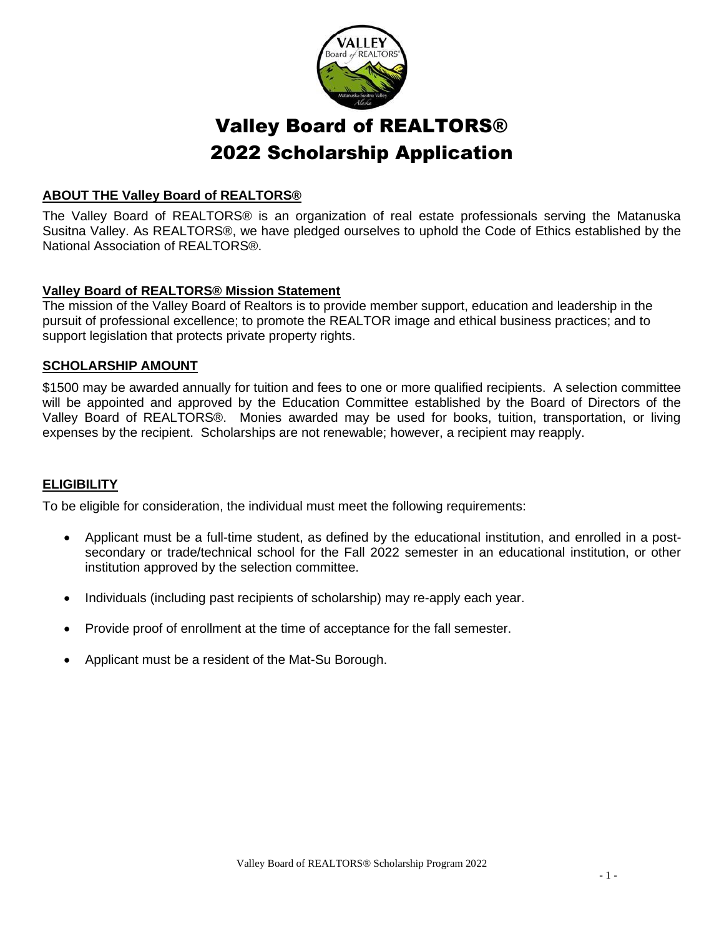

## Valley Board of REALTORS® 2022 Scholarship Application

#### **ABOUT THE Valley Board of REALTORS®**

The Valley Board of REALTORS® is an organization of real estate professionals serving the Matanuska Susitna Valley. As REALTORS®, we have pledged ourselves to uphold the Code of Ethics established by the National Association of REALTORS®.

#### **Valley Board of REALTORS® Mission Statement**

The mission of the Valley Board of Realtors is to provide member support, education and leadership in the pursuit of professional excellence; to promote the REALTOR image and ethical business practices; and to support legislation that protects private property rights.

#### **SCHOLARSHIP AMOUNT**

\$1500 may be awarded annually for tuition and fees to one or more qualified recipients. A selection committee will be appointed and approved by the Education Committee established by the Board of Directors of the Valley Board of REALTORS®. Monies awarded may be used for books, tuition, transportation, or living expenses by the recipient. Scholarships are not renewable; however, a recipient may reapply.

#### **ELIGIBILITY**

To be eligible for consideration, the individual must meet the following requirements:

- Applicant must be a full-time student, as defined by the educational institution, and enrolled in a postsecondary or trade/technical school for the Fall 2022 semester in an educational institution, or other institution approved by the selection committee.
- Individuals (including past recipients of scholarship) may re-apply each year.
- Provide proof of enrollment at the time of acceptance for the fall semester.
- Applicant must be a resident of the Mat-Su Borough.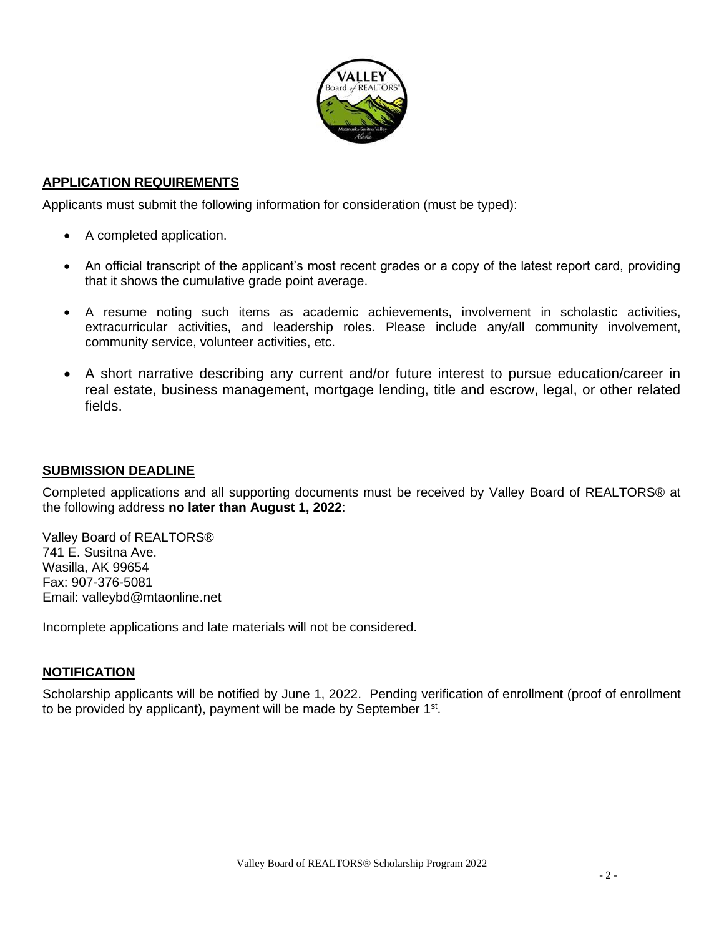

#### **APPLICATION REQUIREMENTS**

Applicants must submit the following information for consideration (must be typed):

- A completed application.
- An official transcript of the applicant's most recent grades or a copy of the latest report card, providing that it shows the cumulative grade point average.
- A resume noting such items as academic achievements, involvement in scholastic activities, extracurricular activities, and leadership roles. Please include any/all community involvement, community service, volunteer activities, etc.
- A short narrative describing any current and/or future interest to pursue education/career in real estate, business management, mortgage lending, title and escrow, legal, or other related fields.

#### **SUBMISSION DEADLINE**

Completed applications and all supporting documents must be received by Valley Board of REALTORS® at the following address **no later than August 1, 2022**:

Valley Board of REALTORS® 741 E. Susitna Ave. Wasilla, AK 99654 Fax: 907-376-5081 Email: valleybd@mtaonline.net

Incomplete applications and late materials will not be considered.

#### **NOTIFICATION**

Scholarship applicants will be notified by June 1, 2022. Pending verification of enrollment (proof of enrollment to be provided by applicant), payment will be made by September 1<sup>st</sup>.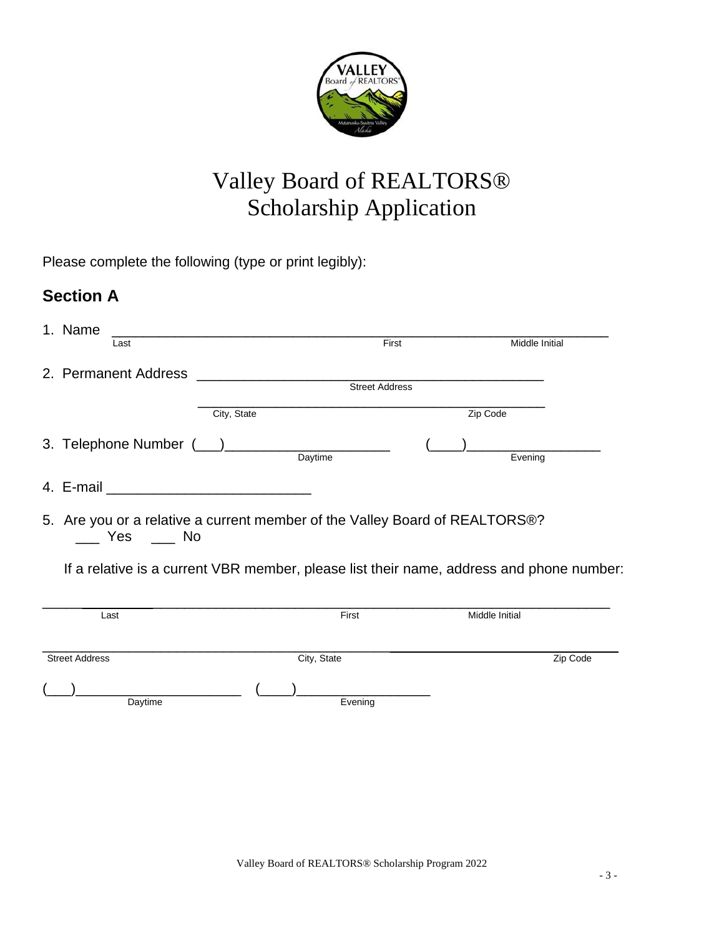

# Valley Board of REALTORS® Scholarship Application

Please complete the following (type or print legibly):

## **Section A**

|                                                                                                 | 1. Name               |             |                |  |                                                                                          |  |  |
|-------------------------------------------------------------------------------------------------|-----------------------|-------------|----------------|--|------------------------------------------------------------------------------------------|--|--|
|                                                                                                 | Last                  |             | First          |  | <b>Middle Initial</b>                                                                    |  |  |
|                                                                                                 |                       |             | Street Address |  |                                                                                          |  |  |
|                                                                                                 |                       |             |                |  |                                                                                          |  |  |
|                                                                                                 |                       | City, State |                |  | Zip Code                                                                                 |  |  |
|                                                                                                 |                       |             |                |  | Evening                                                                                  |  |  |
|                                                                                                 |                       |             |                |  |                                                                                          |  |  |
| 5. Are you or a relative a current member of the Valley Board of REALTORS®?<br>____ Yes ____ No |                       |             |                |  |                                                                                          |  |  |
|                                                                                                 |                       |             |                |  | If a relative is a current VBR member, please list their name, address and phone number: |  |  |
|                                                                                                 | Last                  |             | First          |  | Middle Initial                                                                           |  |  |
|                                                                                                 | <b>Street Address</b> |             | City, State    |  | Zip Code                                                                                 |  |  |
|                                                                                                 | Daytime               |             | Evening        |  |                                                                                          |  |  |